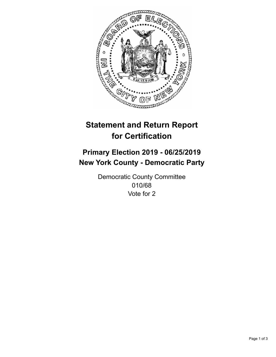

## **Statement and Return Report for Certification**

## **Primary Election 2019 - 06/25/2019 New York County - Democratic Party**

Democratic County Committee 010/68 Vote for 2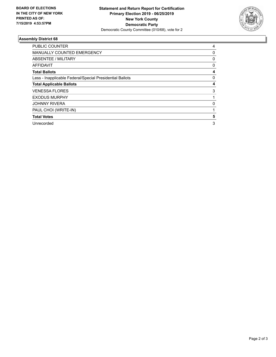

## **Assembly District 68**

| <b>PUBLIC COUNTER</b>                                    | 4 |
|----------------------------------------------------------|---|
| <b>MANUALLY COUNTED EMERGENCY</b>                        | 0 |
| ABSENTEE / MILITARY                                      | 0 |
| AFFIDAVIT                                                | 0 |
| <b>Total Ballots</b>                                     | 4 |
| Less - Inapplicable Federal/Special Presidential Ballots | 0 |
| <b>Total Applicable Ballots</b>                          | 4 |
| <b>VENESSA FLORES</b>                                    | 3 |
| <b>EXODUS MURPHY</b>                                     |   |
| <b>JOHNNY RIVERA</b>                                     | 0 |
| PAUL CHOI (WRITE-IN)                                     |   |
| <b>Total Votes</b>                                       | 5 |
| Unrecorded                                               | 3 |